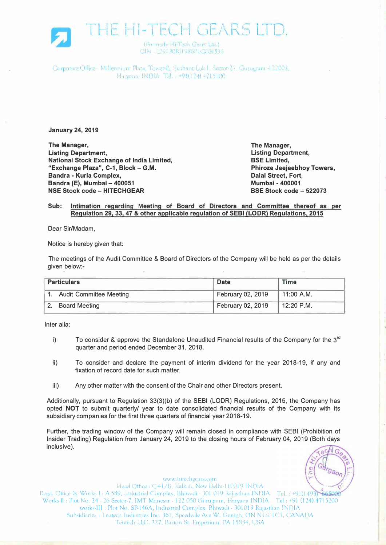

Corporae Office : Millennium Plata, Tower-B, Sushant Lok I, Sector-27. Gurugram 122002, Haryana, INDIA -T.J. . -91(124) 4715100

**January 24, 2019** 

**The Manager, Listing Department, National Stock Exchange of India Limited, "Exchange Plaza", C-1, Block - G.M. Bandra - Kurla Complex, Bandra (E), Mumbai - 400051 NSE Stock code - HITECHGEAR BSE Stock code - 522073** 

**The Manager, Listing Department, Phiroze Jeejeebhoy Towers, Dalal Street, Fort,** 

## **Sub: Intimation regarding Meeting of Board of Directors and Committee thereof as per Regulation 29, 33, 47 & other applicable regulation of SEBI (LODR) Regulations, 2015**

Dear Sir/Madam,

Notice is hereby given that:

The meetings of the Audit Committee & Board of Directors of the Company will be held as per the details given below:-

| <b>Particulars</b>             | <b>Date</b>       | <b>Time</b>  |
|--------------------------------|-------------------|--------------|
| <b>Audit Committee Meeting</b> | February 02, 2019 | $11:00$ A.M. |
| <b>Board Meeting</b>           | February 02, 2019 | $12:20$ P.M. |

Inter alia:

- i) To consider & approve the Standalone Unaudited Financial results of the Company for the 3<sup>rd</sup> quarter and period ended December 31, 2018.
- ii) To consider and declare the payment of interim dividend for the year 2018-19, if any and fixation of record date for such matter.
- iii) Any other matter with the consent of the Chair and other Directors present.

Additionally, pursuant to Regulation 33(3)(b) of the SEBI (LODR) Regulations, 2015, the Company has opted **NOT** to submit quarterly/ year to date consolidated financial results of the Company with its subsidiary companies for the first three quarters of financial year 2018-19.

Further, the trading window of the Company will remain closed in compliance with SEBI (Prohibition of Insider Trading) Regulation from January 24, 2019 to the closing hours of February 04, 2019 (Both days inclusive).

www.hitechgears.com

Head Office: C41/B, Kalkaji, New Delhi-H0019 INDIA Regd. Office & Works I: A-589, Industrial Complex, Bhiwadi - 301 019 Rajasthan INDIA Tel.: +91(1493) 665006 Works-II : Plot No. 24 - 26 Sector-7, IMT Manesar - 122 050 Gurugram, Haryana INDIA Tel.: +91 (124) 4715200 works-III: Plot No. SP-146A, Industrial Complex, Bhiwadi - 301019 Rajasthan INDIA Subsidiaries : Teutech Industries Inc. 361, Speedvale Ave W. Guelph, ON N1H 1C7, CANADA Teutech LLC. 227, Barton St. Emporium. PA 15834, USA